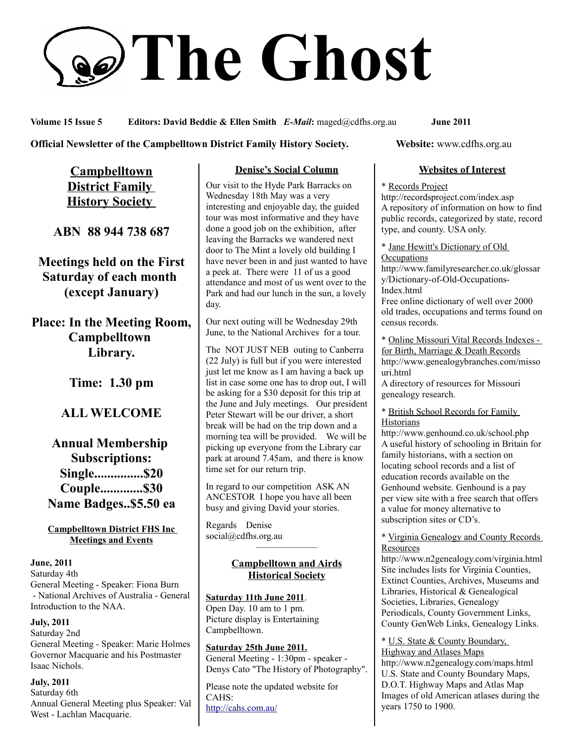# **The Ghost**

**Volume 15 Issue 5 Editors: David Beddie & Ellen Smith** *E-Mail***:** maged@cdfhs.org.au **June 2011**

#### **Official Newsletter of the Campbelltown District Family History Society. Website: www.cdfhs.org.au**

**Campbelltown District Family History Society** 

**ABN 88 944 738 687**

**Meetings held on the First Saturday of each month (except January)**

**Place: In the Meeting Room, Campbelltown Library.**

**Time: 1.30 pm**

# **ALL WELCOME**

# **Annual Membership Subscriptions: Single...............\$20 Couple.............\$30 Name Badges..\$5.50 ea**

#### **Campbelltown District FHS Inc Meetings and Events**

#### **June, 2011**

Saturday 4th General Meeting - Speaker: Fiona Burn - National Archives of Australia - General Introduction to the NAA.

#### **July, 2011**

Saturday 2nd General Meeting - Speaker: Marie Holmes Governor Macquarie and his Postmaster Isaac Nichols.

**July, 2011** Saturday 6th Annual General Meeting plus Speaker: Val West - Lachlan Macquarie.

#### **Denise's Social Column**

Our visit to the Hyde Park Barracks on Wednesday 18th May was a very interesting and enjoyable day, the guided tour was most informative and they have done a good job on the exhibition, after leaving the Barracks we wandered next door to The Mint a lovely old building I have never been in and just wanted to have a peek at. There were 11 of us a good attendance and most of us went over to the Park and had our lunch in the sun, a lovely day.

Our next outing will be Wednesday 29th June, to the National Archives for a tour.

The NOT JUST NEB outing to Canberra (22 July) is full but if you were interested just let me know as I am having a back up list in case some one has to drop out, I will be asking for a \$30 deposit for this trip at the June and July meetings. Our president Peter Stewart will be our driver, a short break will be had on the trip down and a morning tea will be provided. We will be picking up everyone from the Library car park at around 7.45am, and there is know time set for our return trip.

In regard to our competition ASK AN ANCESTOR I hope you have all been busy and giving David your stories.

Regards Denise social@cdfhs.org.au

#### **Campbelltown and Airds Historical Society**

——————–

#### **Saturday 11th June 2011**.

Open Day. 10 am to 1 pm. Picture display is Entertaining Campbelltown.

#### **Saturday 25th June 2011.** General Meeting - 1:30pm - speaker - Denys Cato "The History of Photography".

Please note the updated website for CAHS: <http://cahs.com.au/>

#### **Websites of Interest**

#### \* Records Project

http://recordsproject.com/index.asp A repository of information on how to find public records, categorized by state, record type, and county. USA only.

\* Jane Hewitt's Dictionary of Old **Occupations** http://www.familyresearcher.co.uk/glossar y/Dictionary-of-Old-Occupations-Index.html Free online dictionary of well over 2000 old trades, occupations and terms found on census records.

\* Online Missouri Vital Records Indexes for Birth, Marriage & Death Records http://www.genealogybranches.com/misso uri.html

A directory of resources for Missouri genealogy research.

\* British School Records for Family **Historians** 

http://www.genhound.co.uk/school.php A useful history of schooling in Britain for family historians, with a section on locating school records and a list of education records available on the Genhound website. Genhound is a pay per view site with a free search that offers a value for money alternative to subscription sites or CD's.

\* Virginia Genealogy and County Records **Resources** 

http://www.n2genealogy.com/virginia.html Site includes lists for Virginia Counties, Extinct Counties, Archives, Museums and Libraries, Historical & Genealogical Societies, Libraries, Genealogy Periodicals, County Government Links, County GenWeb Links, Genealogy Links.

\* U.S. State & County Boundary, Highway and Atlases Maps http://www.n2genealogy.com/maps.html U.S. State and County Boundary Maps, D.O.T. Highway Maps and Atlas Map Images of old American atlases during the years 1750 to 1900.